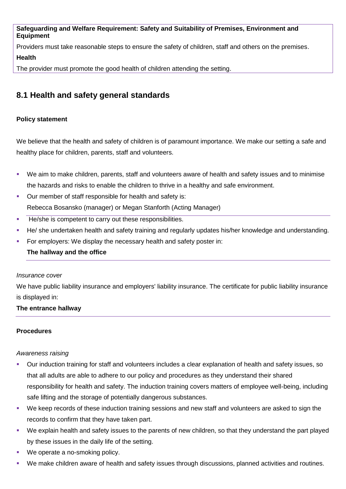**Safeguarding and Welfare Requirement: Safety and Suitability of Premises, Environment and Equipment**

Providers must take reasonable steps to ensure the safety of children, staff and others on the premises. **Health**

The provider must promote the good health of children attending the setting.

# **8.1 Health and safety general standards**

# **Policy statement**

We believe that the health and safety of children is of paramount importance. We make our setting a safe and healthy place for children, parents, staff and volunteers.

- We aim to make children, parents, staff and volunteers aware of health and safety issues and to minimise the hazards and risks to enable the children to thrive in a healthy and safe environment.
- Our member of staff responsible for health and safety is: Rebecca Bosansko (manager) or Megan Stanforth (Acting Manager)
- He/she is competent to carry out these responsibilities.
- He/ she undertaken health and safety training and regularly updates his/her knowledge and understanding.
- For employers: We display the necessary health and safety poster in:
	- **The hallway and the office**

#### *Insurance cover*

We have public liability insurance and employers' liability insurance. The certificate for public liability insurance is displayed in:

#### **The entrance hallway**

#### **Procedures**

#### *Awareness raising*

- Our induction training for staff and volunteers includes a clear explanation of health and safety issues, so that all adults are able to adhere to our policy and procedures as they understand their shared responsibility for health and safety. The induction training covers matters of employee well-being, including safe lifting and the storage of potentially dangerous substances.
- We keep records of these induction training sessions and new staff and volunteers are asked to sign the records to confirm that they have taken part.
- We explain health and safety issues to the parents of new children, so that they understand the part played by these issues in the daily life of the setting.
- We operate a no-smoking policy.
- We make children aware of health and safety issues through discussions, planned activities and routines.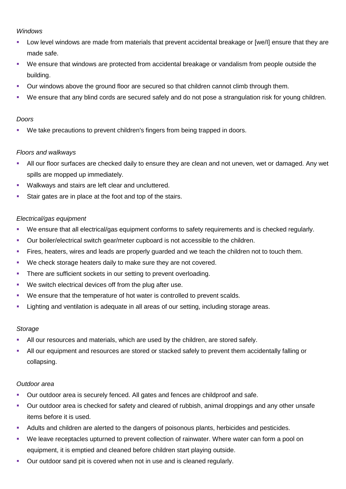## *Windows*

- Low level windows are made from materials that prevent accidental breakage or [we/I] ensure that they are made safe.
- We ensure that windows are protected from accidental breakage or vandalism from people outside the building.
- Our windows above the ground floor are secured so that children cannot climb through them.
- We ensure that any blind cords are secured safely and do not pose a strangulation risk for young children.

#### *Doors*

We take precautions to prevent children's fingers from being trapped in doors.

#### *Floors and walkways*

- All our floor surfaces are checked daily to ensure they are clean and not uneven, wet or damaged. Any wet spills are mopped up immediately.
- **Walkways and stairs are left clear and uncluttered.**
- Stair gates are in place at the foot and top of the stairs.

#### *Electrical/gas equipment*

- We ensure that all electrical/gas equipment conforms to safety requirements and is checked regularly.
- Our boiler/electrical switch gear/meter cupboard is not accessible to the children.
- Fires, heaters, wires and leads are properly guarded and we teach the children not to touch them.
- We check storage heaters daily to make sure they are not covered.
- There are sufficient sockets in our setting to prevent overloading.
- We switch electrical devices off from the plug after use.
- We ensure that the temperature of hot water is controlled to prevent scalds.
- Lighting and ventilation is adequate in all areas of our setting, including storage areas.

#### *Storage*

- All our resources and materials, which are used by the children, are stored safely.
- All our equipment and resources are stored or stacked safely to prevent them accidentally falling or collapsing.

#### *Outdoor area*

- Our outdoor area is securely fenced. All gates and fences are childproof and safe.
- Our outdoor area is checked for safety and cleared of rubbish, animal droppings and any other unsafe items before it is used.
- Adults and children are alerted to the dangers of poisonous plants, herbicides and pesticides.
- We leave receptacles upturned to prevent collection of rainwater. Where water can form a pool on equipment, it is emptied and cleaned before children start playing outside.
- **Dur outdoor sand pit is covered when not in use and is cleaned regularly.**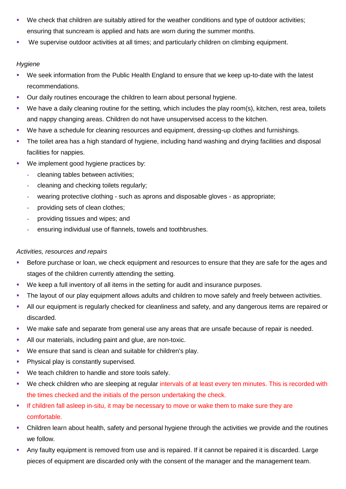- We check that children are suitably attired for the weather conditions and type of outdoor activities; ensuring that suncream is applied and hats are worn during the summer months.
- We supervise outdoor activities at all times; and particularly children on climbing equipment.

# *Hygiene*

- We seek information from the Public Health England to ensure that we keep up-to-date with the latest recommendations.
- **Dure daily routines encourage the children to learn about personal hygiene.**
- We have a daily cleaning routine for the setting, which includes the play room(s), kitchen, rest area, toilets and nappy changing areas. Children do not have unsupervised access to the kitchen.
- We have a schedule for cleaning resources and equipment, dressing-up clothes and furnishings.
- **The toilet area has a high standard of hygiene, including hand washing and drying facilities and disposal** facilities for nappies.
- **We implement good hygiene practices by:** 
	- **-** cleaning tables between activities;
	- **-** cleaning and checking toilets regularly;
	- **-** wearing protective clothing such as aprons and disposable gloves as appropriate;
	- **-** providing sets of clean clothes;
	- **-** providing tissues and wipes; and
	- **-** ensuring individual use of flannels, towels and toothbrushes.

# *Activities, resources and repairs*

- Before purchase or loan, we check equipment and resources to ensure that they are safe for the ages and stages of the children currently attending the setting.
- We keep a full inventory of all items in the setting for audit and insurance purposes.
- The layout of our play equipment allows adults and children to move safely and freely between activities.
- All our equipment is regularly checked for cleanliness and safety, and any dangerous items are repaired or discarded.
- We make safe and separate from general use any areas that are unsafe because of repair is needed.
- All our materials, including paint and glue, are non-toxic.
- We ensure that sand is clean and suitable for children's play.
- **Physical play is constantly supervised.**
- We teach children to handle and store tools safely.
- We check children who are sleeping at regular intervals of at least every ten minutes. This is recorded with the times checked and the initials of the person undertaking the check.
- If children fall asleep in-situ, it may be necessary to move or wake them to make sure they are comfortable.
- Children learn about health, safety and personal hygiene through the activities we provide and the routines we follow.
- Any faulty equipment is removed from use and is repaired. If it cannot be repaired it is discarded. Large pieces of equipment are discarded only with the consent of the manager and the management team.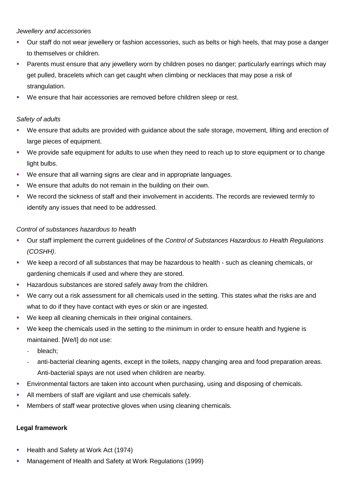#### *Jewellery and accessories*

- Our staff do not wear jewellery or fashion accessories, such as belts or high heels, that may pose a danger to themselves or children.
- Parents must ensure that any jewellery worn by children poses no danger; particularly earrings which may get pulled, bracelets which can get caught when climbing or necklaces that may pose a risk of strangulation.
- We ensure that hair accessories are removed before children sleep or rest.

## *Safety of adults*

- We ensure that adults are provided with guidance about the safe storage, movement, lifting and erection of large pieces of equipment.
- We provide safe equipment for adults to use when they need to reach up to store equipment or to change light bulbs.
- We ensure that all warning signs are clear and in appropriate languages.
- We ensure that adults do not remain in the building on their own.
- We record the sickness of staff and their involvement in accidents. The records are reviewed termly to identify any issues that need to be addressed.

#### *Control of substances hazardous to health*

- Our staff implement the current guidelines of the *Control of Substances Hazardous to Health Regulations (COSHH)*.
- We keep a record of all substances that may be hazardous to health such as cleaning chemicals, or gardening chemicals if used and where they are stored.
- **Hazardous substances are stored safely away from the children.**
- We carry out a risk assessment for all chemicals used in the setting. This states what the risks are and what to do if they have contact with eyes or skin or are ingested.
- We keep all cleaning chemicals in their original containers.
- We keep the chemicals used in the setting to the minimum in order to ensure health and hygiene is maintained. [We/I] do not use:
	- **-** bleach;
	- **-** anti-bacterial cleaning agents, except in the toilets, nappy changing area and food preparation areas. Anti-bacterial spays are not used when children are nearby.
- Environmental factors are taken into account when purchasing, using and disposing of chemicals.
- All members of staff are vigilant and use chemicals safely.
- Members of staff wear protective gloves when using cleaning chemicals.

#### **Legal framework**

- Health and Safety at Work Act (1974)
- Management of Health and Safety at Work Regulations (1999)